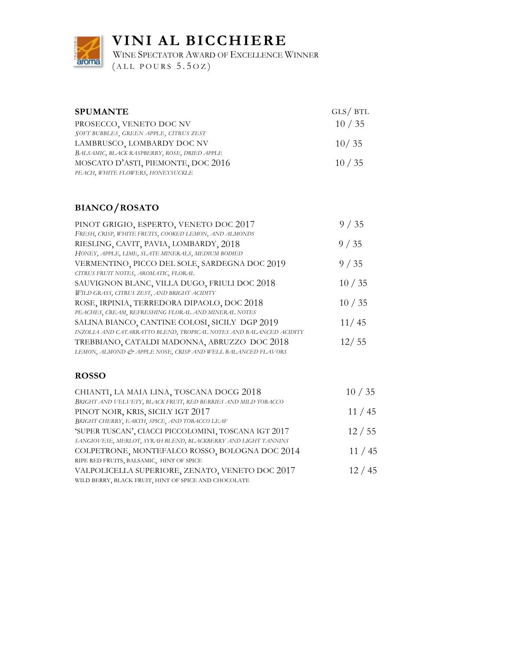

**VINI AL BICCHIERE**

WINE SPECTATOR AWARD OF EXCELLENCE WINNER

 $(ALL POURS 5.5OZ)$ 

| <b>SPUMANTE</b>                              | GLS/ BTL |
|----------------------------------------------|----------|
| PROSECCO, VENETO DOC NV                      | 10/35    |
| SOFT BUBBLES, GREEN APPLE, CITRUS ZEST       |          |
| LAMBRUSCO, LOMBARDY DOC NV                   | 10/35    |
| BALSAMIC, BLACK RASPBERRY, ROSE, DRIED APPLE |          |
| MOSCATO D'ASTI, PIEMONTE, DOC 2016           | 10/35    |
| PEACH, WHITE FLOWERS, HONEYSUCKLE            |          |

#### **BIANCO/ROSATO**

| PINOT GRIGIO, ESPERTO, VENETO DOC 2017                            | 9/35  |
|-------------------------------------------------------------------|-------|
| FRESH, CRISP, WHITE FRUITS, COOKED LEMON, AND ALMONDS             |       |
| RIESLING, CAVIT, PAVIA, LOMBARDY, 2018                            | 9/35  |
| HONEY, APPLE, LIME, SLATE MINERALS, MEDIUM BODIED                 |       |
| VERMENTINO, PICCO DEL SOLE, SARDEGNA DOC 2019                     | 9/35  |
| CITRUS FRUIT NOTES, AROMATIC, FLORAL                              |       |
| SAUVIGNON BLANC, VILLA DUGO, FRIULI DOC 2018                      | 10/35 |
| WILD GRASS, CITRUS ZEST, AND BRIGHT ACIDITY                       |       |
| ROSE, IRPINIA, TERREDORA DIPAOLO, DOC 2018                        | 10/35 |
| PEACHES, CREAM, REFRESHING FLORAL AND MINERAL NOTES               |       |
| SALINA BIANCO, CANTINE COLOSI, SICILY DGP 2019                    | 11/45 |
| INZOLIA AND CATARRATTO BLEND, TROPICAL NOTES AND BALANCED ACIDITY |       |
| TREBBIANO, CATALDI MADONNA, ABRUZZO DOC 2018                      | 12/55 |
| LEMON, ALMOND & APPLE NOSE, CRISP AND WELL BALANCED FLAVORS       |       |

#### **ROSSO**

| CHIANTI, LA MAIA LINA, TOSCANA DOCG 2018                      | 10/35 |
|---------------------------------------------------------------|-------|
| BRIGHT AND VELVETY, BLACK FRUIT, RED BERRIES AND MILD TOBACCO |       |
| PINOT NOIR, KRIS, SICILY IGT 2017                             | 11/45 |
| BRIGHT CHERRY, EARTH, SPICE, AND TOBACCO LEAF                 |       |
| 'SUPER TUSCAN', CIACCI PICCOLOMINI, TOSCANA IGT 2017          | 12/55 |
| SANGIOVESE, MERLOT, SYRAH BLEND, BLACKBERRY AND LIGHT TANNINS |       |
| COLPETRONE, MONTEFALCO ROSSO, BOLOGNA DOC 2014                | 11/45 |
| RIPE RED FRUITS, BALSAMIC, HINT OF SPICE                      |       |
| VALPOLICELLA SUPERIORE, ZENATO, VENETO DOC 2017               | 12/45 |
| WILD BERRY, BLACK FRUIT, HINT OF SPICE AND CHOCOLATE          |       |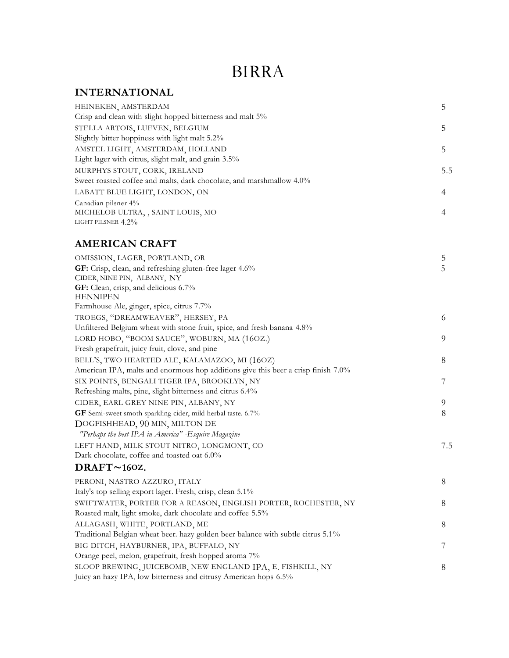### BIRRA

#### **INTERNATIONAL**

| HEINEKEN, AMSTERDAM                                                  |     |
|----------------------------------------------------------------------|-----|
| Crisp and clean with slight hopped bitterness and malt 5%            |     |
| STELLA ARTOIS, LUEVEN, BELGIUM                                       |     |
| Slightly bitter hoppiness with light malt 5.2%                       |     |
| AMSTEL LIGHT, AMSTERDAM, HOLLAND                                     |     |
| Light lager with citrus, slight malt, and grain 3.5%                 |     |
| MURPHYS STOUT, CORK, IRELAND                                         | 5.5 |
| Sweet roasted coffee and malts, dark chocolate, and marshmallow 4.0% |     |
| LABATT BLUE LIGHT, LONDON, ON                                        |     |
| Canadian pilsner 4%                                                  |     |
| MICHELOB ULTRA, , SAINT LOUIS, MO                                    |     |
| LIGHT PILSNER 4.2%                                                   |     |

#### **AMERICAN CRAFT**

| OMISSION, LAGER, PORTLAND, OR                                                     | 5   |
|-----------------------------------------------------------------------------------|-----|
| GF: Crisp, clean, and refreshing gluten-free lager 4.6%                           | 5   |
| CIDER, NINE PIN, ALBANY, NY                                                       |     |
| GF: Clean, crisp, and delicious 6.7%                                              |     |
| <b>HENNIPEN</b>                                                                   |     |
| Farmhouse Ale, ginger, spice, citrus 7.7%                                         |     |
| TROEGS, "DREAMWEAVER", HERSEY, PA                                                 | 6   |
| Unfiltered Belgium wheat with stone fruit, spice, and fresh banana 4.8%           |     |
| LORD HOBO, "BOOM SAUCE", WOBURN, MA (16OZ.)                                       | 9   |
| Fresh grapefruit, juicy fruit, clove, and pine                                    |     |
| BELL'S, TWO HEARTED ALE, KALAMAZOO, MI (16OZ)                                     | 8   |
| American IPA, malts and enormous hop additions give this beer a crisp finish 7.0% |     |
| SIX POINTS, BENGALI TIGER IPA, BROOKLYN, NY                                       | 7   |
| Refreshing malts, pine, slight bitterness and citrus 6.4%                         |     |
| CIDER, EARL GREY NINE PIN, ALBANY, NY                                             | 9   |
| GF Semi-sweet smoth sparkling cider, mild herbal taste. 6.7%                      | 8   |
| DOGFISHHEAD, 90 MIN, MILTON DE                                                    |     |
| "Perhaps the best IPA in America" - Esquire Magazine                              |     |
| LEFT HAND, MILK STOUT NITRO, LONGMONT, CO                                         | 7.5 |
| Dark chocolate, coffee and toasted oat 6.0%                                       |     |
| DRAFT~160Z.                                                                       |     |
| PERONI, NASTRO AZZURO, ITALY                                                      | 8   |
| Italy's top selling export lager. Fresh, crisp, clean 5.1%                        |     |
| SWIFTWATER, PORTER FOR A REASON, ENGLISH PORTER, ROCHESTER, NY                    | 8   |
| Roasted malt, light smoke, dark chocolate and coffee 5.5%                         |     |
| ALLAGASH, WHITE, PORTLAND, ME                                                     | 8   |
| Traditional Belgian wheat beer. hazy golden beer balance with subtle citrus 5.1%  |     |
| BIG DITCH, HAYBURNER, IPA, BUFFALO, NY                                            | 7   |
| Orange peel, melon, grapefruit, fresh hopped aroma 7%                             |     |
| SLOOP BREWING, JUICEBOMB, NEW ENGLAND IPA, E. FISHKILL, NY                        | 8   |
| Juicy an hazy IPA, low bitterness and citrusy American hops 6.5%                  |     |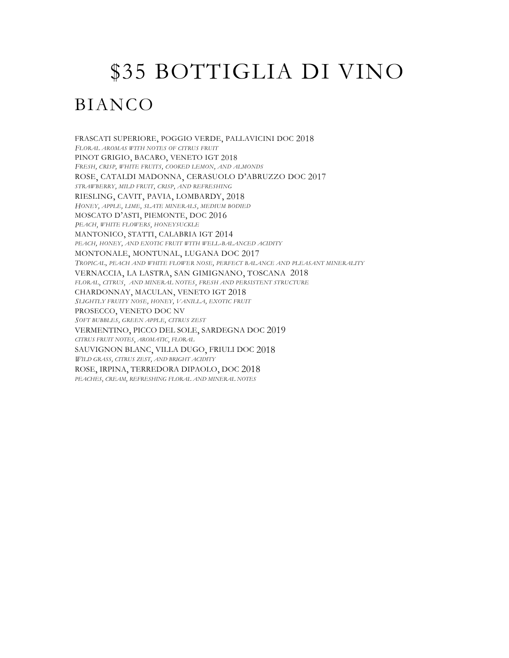# \$35 BOTTIGLIA DI VINO BIANCO

FRASCATI SUPERIORE, POGGIO VERDE, PALLAVICINI DOC 2018 *FLORAL AROMAS WITH NOTES OF CITRUS FRUIT* PINOT GRIGIO, BACARO, VENETO IGT 2018 *FRESH, CRISP, WHITE FRUITS, COOKED LEMON, AND ALMONDS* ROSE, CATALDI MADONNA, CERASUOLO D'ABRUZZO DOC 2017 *STRAWBERRY, MILD FRUIT, CRISP, AND REFRESHING* RIESLING, CAVIT, PAVIA, LOMBARDY, 2018 *HONEY, APPLE, LIME, SLATE MINERALS, MEDIUM BODIED* MOSCATO D'ASTI, PIEMONTE, DOC 2016 *PEACH, WHITE FLOWERS, HONEYSUCKLE* MANTONICO, STATTI, CALABRIA IGT 2014 *PEACH, HONEY, AND EXOTIC FRUIT WITH WELL-BALANCED ACIDITY* MONTONALE, MONTUNAL, LUGANA DOC 2017 *TROPICAL, PEACH AND WHITE FLOWER NOSE, PERFECT BALANCE AND PLEASANT MINERALITY* VERNACCIA, LA LASTRA, SAN GIMIGNANO, TOSCANA 2018 *FLORAL, CITRUS, AND MINERAL NOTES, FRESH AND PERSISTENT STRUCTURE* CHARDONNAY, MACULAN, VENETO IGT 2018 *SLIGHTLY FRUITY NOSE, HONEY, VANILLA, EXOTIC FRUIT* PROSECCO, VENETO DOC NV *SOFT BUBBLES, GREEN APPLE, CITRUS ZEST* VERMENTINO, PICCO DEL SOLE, SARDEGNA DOC 2019 *CITRUS FRUIT NOTES, AROMATIC, FLORAL* SAUVIGNON BLANC, VILLA DUGO, FRIULI DOC 2018 *WILD GRASS, CITRUS ZEST, AND BRIGHT ACIDITY*  ROSE, IRPINA, TERREDORA DIPAOLO, DOC 2018 *PEACHES, CREAM, REFRESHING FLORAL AND MINERAL NOTES*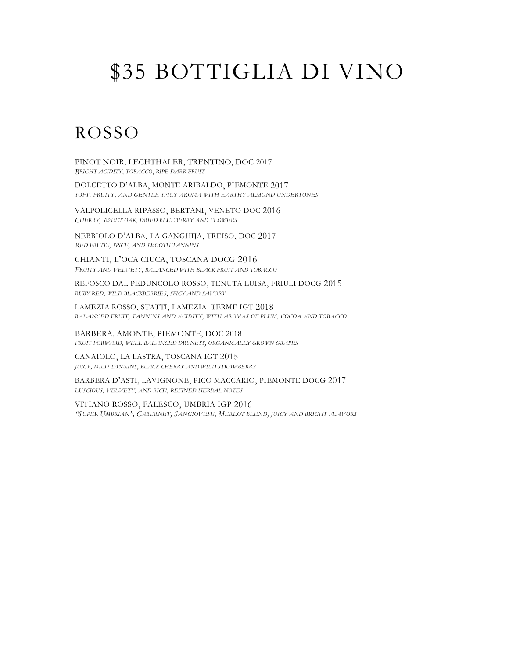# \$35 BOTTIGLIA DI VINO

### ROSSO

PINOT NOIR, LECHTHALER, TRENTINO, DOC 2017 *BRIGHT ACIDITY, TOBACCO, RIPE DARK FRUIT*

DOLCETTO D'ALBA, MONTE ARIBALDO, PIEMONTE 2017 *SOFT, FRUITY, AND GENTLE SPICY AROMA WITH EARTHY ALMOND UNDERTONES*

VALPOLICELLA RIPASSO, BERTANI, VENETO DOC 2016 *CHERRY, SWEET OAK, DRIED BLUEBERRY AND FLOWERS*

NEBBIOLO D'ALBA, LA GANGHIJA, TREISO, DOC 2017 *RED FRUITS, SPICE, AND SMOOTH TANNINS*

CHIANTI, L'OCA CIUCA, TOSCANA DOCG 2016 *FRUITY AND VELVETY, BALANCED WITH BLACK FRUIT AND TOBACCO* 

REFOSCO DAL PEDUNCOLO ROSSO, TENUTA LUISA, FRIULI DOCG 2015 *RUBY RED, WILD BLACKBERRIES, SPICY AND SAVORY*

LAMEZIA ROSSO, STATTI, LAMEZIA TERME IGT 2018 *BALANCED FRUIT, TANNINS AND ACIDITY, WITH AROMAS OF PLUM, COCOA AND TOBACCO*

BARBERA, AMONTE, PIEMONTE, DOC 2018 *FRUIT FORWARD, WELL BALANCED DRYNESS, ORGANICALLY GROWN GRAPES*

CANAIOLO, LA LASTRA, TOSCANA IGT 2015 *JUICY, MILD TANNINS, BLACK CHERRY AND WILD STRAWBERRY*

BARBERA D'ASTI, LAVIGNONE, PICO MACCARIO, PIEMONTE DOCG 2017 *LUSCIOUS, VELVETY, AND RICH, REFINED HERBAL NOTES*

VITIANO ROSSO, FALESCO, UMBRIA IGP 2016 *"SUPER UMBRIAN", CABERNET, SANGIOVESE, MERLOT BLEND, JUICY AND BRIGHT FLAVORS*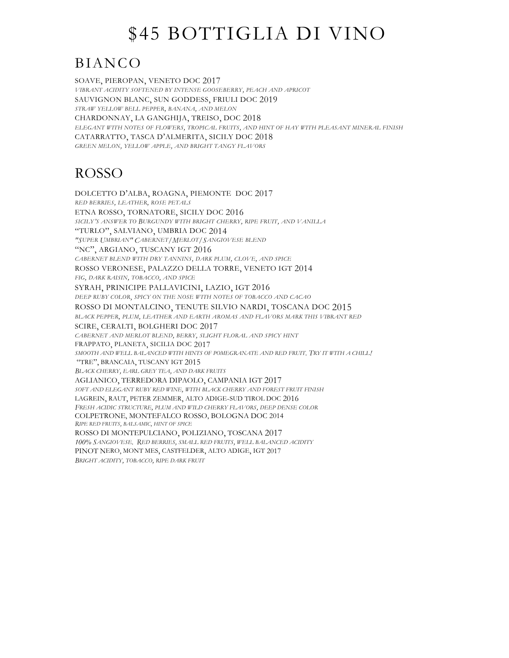# \$45 BOTTIGLIA DI VINO

### BIANCO

SOAVE, PIEROPAN, VENETO DOC 2017 *VIBRANT ACIDITY SOFTENED BY INTENSE GOOSEBERRY, PEACH AND APRICOT* SAUVIGNON BLANC, SUN GODDESS, FRIULI DOC 2019 *STRAW YELLOW BELL PEPPER, BANANA, AND MELON* CHARDONNAY, LA GANGHIJA, TREISO, DOC 2018 *ELEGANT WITH NOTES OF FLOWERS, TROPICAL FRUITS, AND HINT OF HAY WITH PLEASANT MINERAL FINISH* CATARRATTO, TASCA D'ALMERITA, SICILY DOC 2018 *GREEN MELON, YELLOW APPLE, AND BRIGHT TANGY FLAVORS*

### ROSSO

DOLCETTO D'ALBA, ROAGNA, PIEMONTE DOC 2017 *RED BERRIES, LEATHER, ROSE PETALS* ETNA ROSSO, TORNATORE, SICILY DOC 2016 *SICILY'S ANSWER TO BURGUNDY WITH BRIGHT CHERRY, RIPE FRUIT, AND VANILLA* "TURLO", SALVIANO, UMBRIA DOC 2014 *"SUPER UMBRIAN" CABERNET/MERLOT/SANGIOVESE BLEND* "NC", ARGIANO, TUSCANY IGT 2016 *CABERNET BLEND WITH DRY TANNINS, DARK PLUM, CLOVE, AND SPICE* ROSSO VERONESE, PALAZZO DELLA TORRE, VENETO IGT 2014 *FIG, DARK RAISIN, TOBACCO, AND SPICE*  SYRAH, PRINICIPE PALLAVICINI, LAZIO, IGT 2016 *DEEP RUBY COLOR, SPICY ON THE NOSE WITH NOTES OF TOBACCO AND CACAO* ROSSO DI MONTALCINO, TENUTE SILVIO NARDI, TOSCANA DOC 2015 *BLACK PEPPER, PLUM, LEATHER AND EARTH AROMAS AND FLAVORS MARK THIS VIBRANT RED* SCIRE, CERALTI, BOLGHERI DOC 2017 *CABERNET AND MERLOT BLEND, BERRY, SLIGHT FLORAL AND SPICY HINT* FRAPPATO, PLANETA, SICILIA DOC 2017 *SMOOTH AND WELL BALANCED WITH HINTS OF POMEGRANATE AND RED FRUIT. TRY IT WITH A CHILL!* "TRE", BRANCAIA, TUSCANY IGT 2015 *BLACK CHERRY, EARL GREY TEA, AND DARK FRUITS* AGLIANICO, TERREDORA DIPAOLO, CAMPANIA IGT 2017 *SOFT AND ELEGANT RUBY RED WINE, WITH BLACK CHERRY AND FOREST FRUIT FINISH* LAGREIN, RAUT, PETER ZEMMER, ALTO ADIGE-SUD TIROL DOC 2016 *FRESH ACIDIC STRUCTURE, PLUM AND WILD CHERRY FLAVORS, DEEP DENSE COLOR* COLPETRONE, MONTEFALCO ROSSO, BOLOGNA DOC 2014 *RIPE RED FRUITS, BALSAMIC, HINT OF SPICE* ROSSO DI MONTEPULCIANO, POLIZIANO, TOSCANA 2017 *100% SANGIOVESE. RED BERRIES, SMALL RED FRUITS, WELL BALANCED ACIDITY* PINOT NERO, MONT MES, CASTFELDER, ALTO ADIGE, IGT 2017 *BRIGHT ACIDITY, TOBACCO, RIPE DARK FRUIT*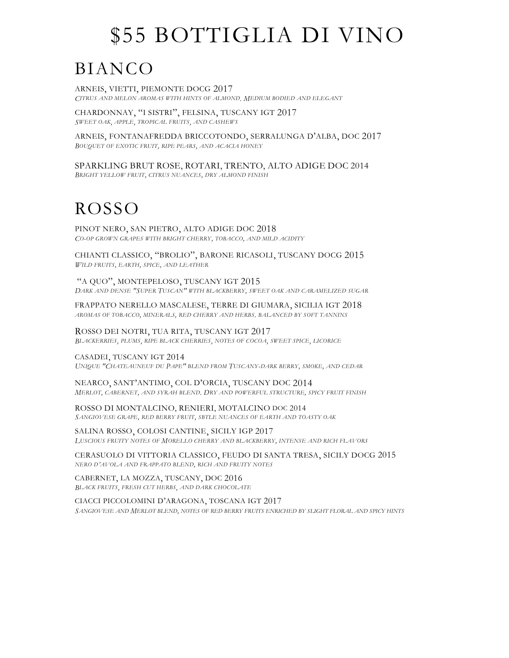# \$55 BOTTIGLIA DI VINO

## BIANCO

ARNEIS, VIETTI, PIEMONTE DOCG 2017 *CITRUS AND MELON AROMAS WITH HINTS OF ALMOND. MEDIUM BODIED AND ELEGANT*

CHARDONNAY, "I SISTRI", FELSINA, TUSCANY IGT 2017 *SWEET OAK, APPLE, TROPICAL FRUITS, AND CASHEWS*

ARNEIS, FONTANAFREDDA BRICCOTONDO, SERRALUNGA D'ALBA, DOC 2017 *BOUQUET OF EXOTIC FRUIT, RIPE PEARS, AND ACACIA HONEY*

SPARKLING BRUT ROSE, ROTARI, TRENTO, ALTO ADIGE DOC 2014 *BRIGHT YELLOW FRUIT, CITRUS NUANCES, DRY ALMOND FINISH*

## ROSSO

PINOT NERO, SAN PIETRO, ALTO ADIGE DOC 2018 *CO-OP GROWN GRAPES WITH BRIGHT CHERRY, TOBACCO, AND MILD ACIDITY*

CHIANTI CLASSICO, "BROLIO", BARONE RICASOLI, TUSCANY DOCG 2015 *WILD FRUITS, EARTH, SPICE, AND LEATHER*

"A QUO", MONTEPELOSO, TUSCANY IGT 2015 *DARK AND DENSE "SUPER TUSCAN" WITH BLACKBERRY, SWEET OAK AND CARAMELIZED SUGAR*

FRAPPATO NERELLO MASCALESE, TERRE DI GIUMARA, SICILIA IGT 2018 *AROMAS OF TOBACCO, MINERALS, RED CHERRY AND HERBS. BALANCED BY SOFT TANNINS* 

ROSSO DEI NOTRI, TUA RITA, TUSCANY IGT 2017 *BLACKERRIES, PLUMS, RIPE BLACK CHERRIES, NOTES OF COCOA, SWEET SPICE, LICORICE*

CASADEI, TUSCANY IGT 2014 *UNIQUE "CHATEAUNEUF DU PAPE" BLEND FROM TUSCANY-DARK BERRY, SMOKE, AND CEDAR* 

NEARCO, SANT'ANTIMO, COL D'ORCIA, TUSCANY DOC 2014 *MERLOT, CABERNET, AND SYRAH BLEND. DRY AND POWERFUL STRUCTURE, SPICY FRUIT FINISH*

ROSSO DI MONTALCINO, RENIERI, MOTALCINO DOC 2014 *SANGIOVESE GRAPE, RED BERRY FRUIT, SBTLE NUANCES OF EARTH AND TOASTY OAK*

SALINA ROSSO, COLOSI CANTINE, SICILY IGP 2017 *LUSCIOUS FRUITY NOTES OF MORELLO CHERRY AND BLACKBERRY, INTENSE AND RICH FLAVORS*

CERASUOLO DI VITTORIA CLASSICO, FEUDO DI SANTA TRESA, SICILY DOCG 2015 *NERO D'AVOLA AND FRAPPATO BLEND, RICH AND FRUITY NOTES*

CABERNET, LA MOZZA, TUSCANY, DOC 2016 *BLACK FRUITS, FRESH CUT HERBS, AND DARK CHOCOLATE*

CIACCI PICCOLOMINI D'ARAGONA, TOSCANA IGT 2017 *SANGIOVESE AND MERLOT BLEND, NOTES OF RED BERRY FRUITS ENRICHED BY SLIGHT FLORAL AND SPICY HINTS*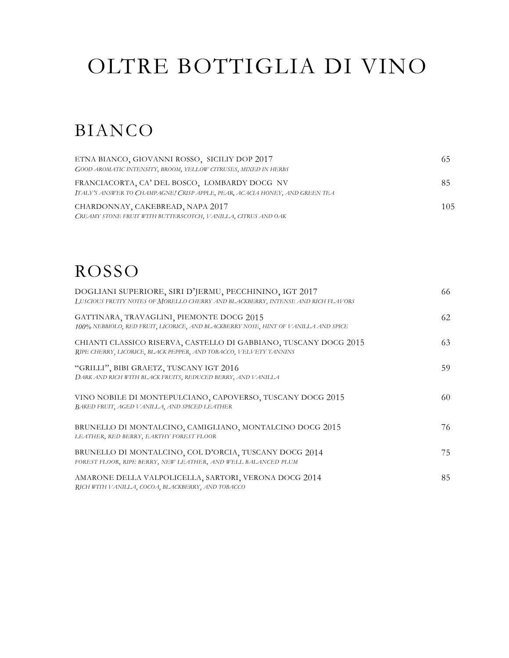# OLTRE BOTTIGLIA DI VINO

### BIANCO

| ETNA BIANCO, GIOVANNI ROSSO, SICILIY DOP 2017<br>GOOD AROMATIC INTENSITY, BROOM, YELLOW CITRUSES, MIXED IN HERBS             | -65 |
|------------------------------------------------------------------------------------------------------------------------------|-----|
| FRANCIACORTA, CA' DEL BOSCO, LOMBARDY DOCG NV<br>ITALY'S ANSWER TO CHAMPAGNE! CRISP APPLE, PEAR, ACACIA HONEY, AND GREEN TEA | -85 |
| CHARDONNAY, CAKEBREAD, NAPA 2017<br>CREAMY STONE FRUIT WITH BUTTERSCOTCH, VANILLA, CITRUS AND OAK                            | 105 |

## ROSSO

| DOGLIANI SUPERIORE, SIRI D'JERMU, PECCHININO, IGT 2017<br>LUSCIOUS FRUITY NOTES OF MORELLO CHERRY AND BLACKBERRY, INTENSE AND RICH FLAVORS | 66 |
|--------------------------------------------------------------------------------------------------------------------------------------------|----|
| GATTINARA, TRAVAGLINI, PIEMONTE DOCG 2015<br>100% NEBBIOLO, RED FRUIT, LICORICE, AND BLACKBERRY NOSE, HINT OF VANILLA AND SPICE            | 62 |
| CHIANTI CLASSICO RISERVA, CASTELLO DI GABBIANO, TUSCANY DOCG 2015<br>RIPE CHERRY, LICORICE, BLACK PEPPER, AND TOBACCO, VELVETY TANNINS     | 63 |
| "GRILLI", BIBI GRAETZ, TUSCANY IGT 2016<br>DARK AND RICH WITH BLACK FRUITS, REDUCED BERRY, AND VANILLA                                     | 59 |
| VINO NOBILE DI MONTEPULCIANO, CAPOVERSO, TUSCANY DOCG 2015<br>BAKED FRUIT, AGED VANILLA, AND SPICED LEATHER                                | 60 |
| BRUNELLO DI MONTALCINO, CAMIGLIANO, MONTALCINO DOCG 2015<br>LEATHER, RED BERRY, EARTHY FOREST FLOOR                                        | 76 |
| BRUNELLO DI MONTALCINO, COL D'ORCIA, TUSCANY DOCG 2014<br>FOREST FLOOR, RIPE BERRY, NEW LEATHER, AND WELL BALANCED PLUM                    | 75 |
| AMARONE DELLA VALPOLICELLA, SARTORI, VERONA DOCG 2014<br>RICH WITH VANILLA, COCOA, BLACKBERRY, AND TOBACCO                                 | 85 |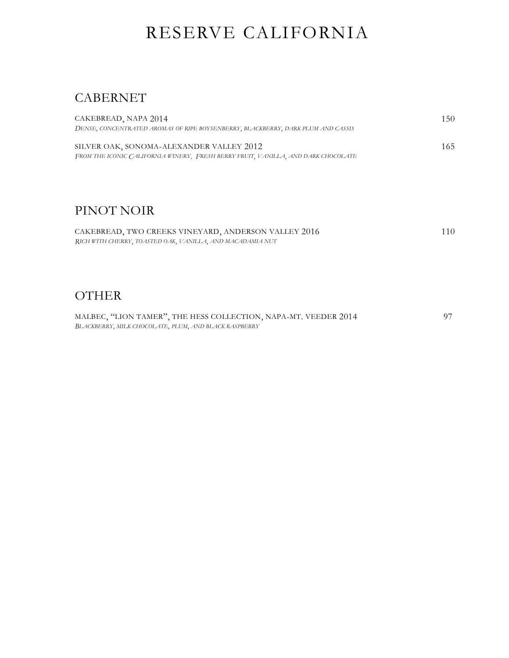### RESERVE CALIFORNIA

#### CABERNET

*BLACKBERRY, MILK CHOCOLATE, PLUM, AND BLACK RASPBERRY*

| CAKEBREAD, NAPA 2014                                                              | 150 |
|-----------------------------------------------------------------------------------|-----|
| DENSE, CONCENTRATED AROMAS OF RIPE BOYSENBERRY, BLACKBERRY, DARK PLUM AND CASSIS  |     |
| SILVER OAK, SONOMA-ALEXANDER VALLEY 2012                                          | 165 |
| FROM THE ICONIC CALIFORNIA WINERY, FRESH BERRY FRUIT, VANILLA, AND DARK CHOCOLATE |     |
|                                                                                   |     |
|                                                                                   |     |
|                                                                                   |     |
| PINOT NOIR                                                                        |     |
| CAKEBREAD, TWO CREEKS VINEYARD, ANDERSON VALLEY 2016                              | 110 |
| RICH WITH CHERRY, TOASTED OAK, VANILLA, AND MACADAMIA NUT                         |     |
|                                                                                   |     |
|                                                                                   |     |
|                                                                                   |     |
| <b>OTHER</b>                                                                      |     |
| MALBEC, "LION TAMER", THE HESS COLLECTION, NAPA-MT. VEEDER 2014                   | 97  |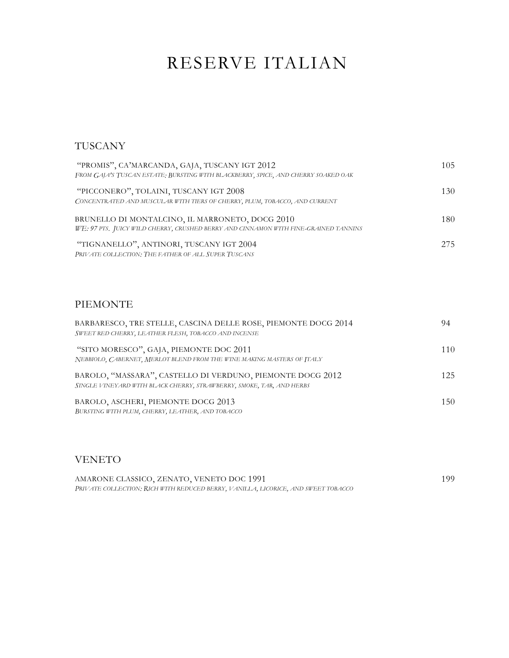### RESERVE ITALIAN

#### TUSCANY

| "PROMIS", CA'MARCANDA, GAJA, TUSCANY IGT 2012<br>FROM GAJA'S TUSCAN ESTATE: BURSTING WITH BLACKBERRY, SPICE, AND CHERRY SOAKED OAK     |     |
|----------------------------------------------------------------------------------------------------------------------------------------|-----|
| "PICCONERO", TOLAINI, TUSCANY IGT 2008<br>CONCENTRATED AND MUSCULAR WITH TIERS OF CHERRY, PLUM, TOBACCO, AND CURRENT                   | 130 |
| BRUNELLO DI MONTALCINO, IL MARRONETO, DOCG 2010<br>WE: 97 PTS. JUICY WILD CHERRY, CRUSHED BERRY AND CINNAMON WITH FINE-GRAINED TANNINS | 180 |
| "TIGNANELLO", ANTINORI, TUSCANY IGT 2004<br>PRIVATE COLLECTION: THE FATHER OF ALL SUPER TUSCANS                                        | 275 |

#### PIEMONTE

| BARBARESCO, TRE STELLE, CASCINA DELLE ROSE, PIEMONTE DOCG 2014<br>SWEET RED CHERRY, LEATHER FLESH, TOBACCO AND INCENSE             | 94  |
|------------------------------------------------------------------------------------------------------------------------------------|-----|
| "SITO MORESCO", GAJA, PIEMONTE DOC 2011<br>NEBBIOLO, CABERNET, MERLOT BLEND FROM THE WINE MAKING MASTERS OF ITALY                  | 110 |
| BAROLO, "MASSARA", CASTELLO DI VERDUNO, PIEMONTE DOCG 2012<br>SINGLE VINEYARD WITH BLACK CHERRY, STRAWBERRY, SMOKE, TAR, AND HERBS | 125 |
| BAROLO, ASCHERI, PIEMONTE DOCG 2013<br>BURSTING WITH PLUM, CHERRY, LEATHER, AND TOBACCO                                            | 150 |

#### VENETO

| AMARONE CLASSICO, ZENATO, VENETO DOC 1991                                         | 199 |
|-----------------------------------------------------------------------------------|-----|
| PRIVATE COLLECTION: RICH WITH REDUCED BERRY, VANILLA, LICORICE, AND SWEET TOBACCO |     |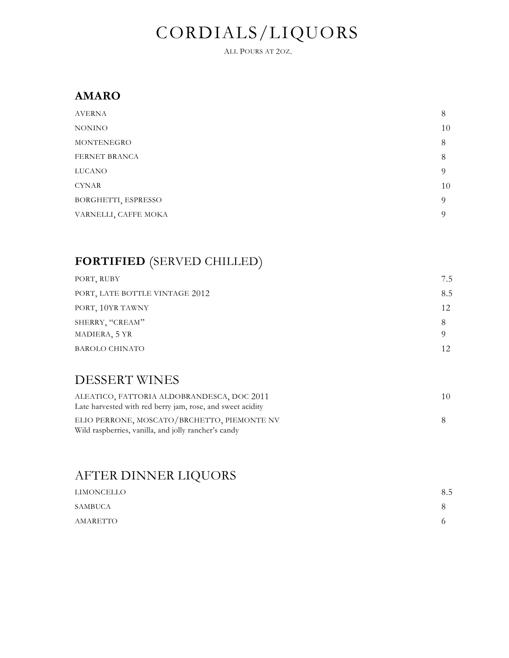## CORDIALS/LIQUORS

ALL POURS AT 2OZ.

#### **AMARO**

| <b>AVERNA</b>        | 8        |
|----------------------|----------|
| <b>NONINO</b>        | 10       |
| MONTENEGRO           | 8        |
| FERNET BRANCA        | 8        |
| <b>LUCANO</b>        | $\Omega$ |
| <b>CYNAR</b>         | 10       |
| BORGHETTI, ESPRESSO  | $\Omega$ |
| VARNELLI, CAFFE MOKA | $\Omega$ |
|                      |          |

### **FORTIFIED** (SERVED CHILLED)

| PORT, RUBY                       | 7.5 |
|----------------------------------|-----|
| PORT, LATE BOTTLE VINTAGE 2012   | 8.5 |
| PORT, 10YR TAWNY                 | 12  |
| SHERRY, "CREAM"<br>MADIERA, 5 YR | 8   |
| <b>BAROLO CHINATO</b>            | 12  |

#### DESSERT WINES

| ALEATICO, FATTORIA ALDOBRANDESCA, DOC 2011                                                          | 10. |
|-----------------------------------------------------------------------------------------------------|-----|
| Late harvested with red berry jam, rose, and sweet acidity                                          |     |
| ELIO PERRONE, MOSCATO/BRCHETTO, PIEMONTE NV<br>Wild raspberries, vanilla, and jolly rancher's candy |     |

### AFTER DINNER LIQUORS

| LIMONCELLO | 8.5 |
|------------|-----|
| SAMBUCA    | x   |
| AMARETTO   |     |